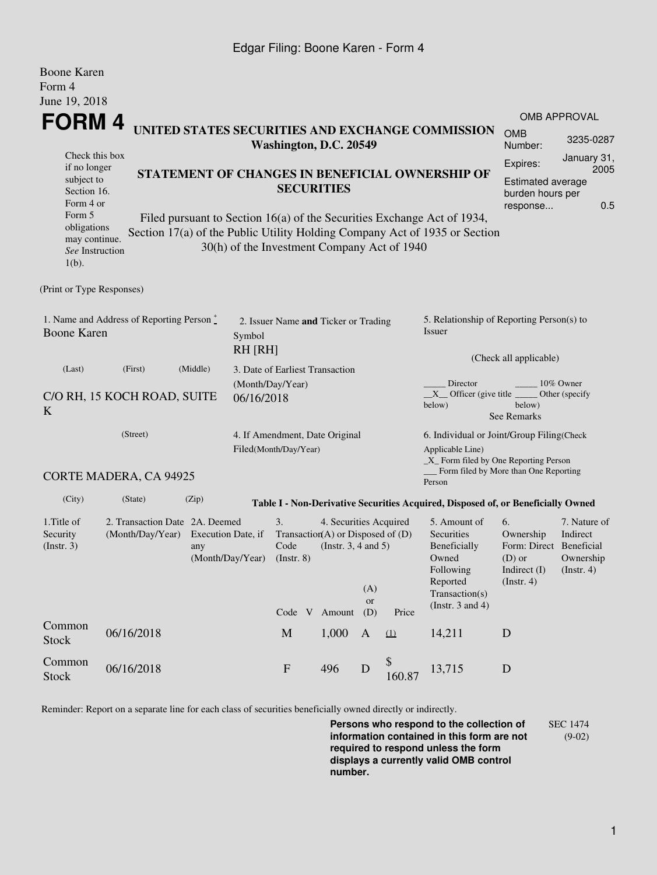## Edgar Filing: Boone Karen - Form 4

| <b>Boone Karen</b>                                                                                                 |                                                        |                                                                                                                                                                                                                               |                                |                                                                                                  |                                |              |                                                                                                |                                                                                                              |                                                                    |                                                                                             |  |  |
|--------------------------------------------------------------------------------------------------------------------|--------------------------------------------------------|-------------------------------------------------------------------------------------------------------------------------------------------------------------------------------------------------------------------------------|--------------------------------|--------------------------------------------------------------------------------------------------|--------------------------------|--------------|------------------------------------------------------------------------------------------------|--------------------------------------------------------------------------------------------------------------|--------------------------------------------------------------------|---------------------------------------------------------------------------------------------|--|--|
| Form 4<br>June 19, 2018                                                                                            |                                                        |                                                                                                                                                                                                                               |                                |                                                                                                  |                                |              |                                                                                                |                                                                                                              |                                                                    |                                                                                             |  |  |
|                                                                                                                    |                                                        |                                                                                                                                                                                                                               |                                |                                                                                                  |                                |              |                                                                                                |                                                                                                              |                                                                    | <b>OMB APPROVAL</b>                                                                         |  |  |
| FORM 4<br>UNITED STATES SECURITIES AND EXCHANGE COMMISSION<br>Washington, D.C. 20549                               |                                                        |                                                                                                                                                                                                                               |                                |                                                                                                  |                                |              |                                                                                                |                                                                                                              | <b>OMB</b><br>Number:                                              | 3235-0287                                                                                   |  |  |
| Check this box<br>if no longer<br>subject to<br>Section 16.<br>Form 4 or<br>Form 5<br>obligations<br>may continue. |                                                        | STATEMENT OF CHANGES IN BENEFICIAL OWNERSHIP OF<br><b>SECURITIES</b><br>Filed pursuant to Section 16(a) of the Securities Exchange Act of 1934,<br>Section 17(a) of the Public Utility Holding Company Act of 1935 or Section |                                |                                                                                                  |                                |              |                                                                                                |                                                                                                              |                                                                    | January 31,<br>Expires:<br>2005<br>Estimated average<br>burden hours per<br>0.5<br>response |  |  |
| See Instruction<br>$1(b)$ .                                                                                        |                                                        |                                                                                                                                                                                                                               |                                | 30(h) of the Investment Company Act of 1940                                                      |                                |              |                                                                                                |                                                                                                              |                                                                    |                                                                                             |  |  |
| (Print or Type Responses)                                                                                          |                                                        |                                                                                                                                                                                                                               |                                |                                                                                                  |                                |              |                                                                                                |                                                                                                              |                                                                    |                                                                                             |  |  |
| 1. Name and Address of Reporting Person $\degree$<br><b>Boone Karen</b><br>Symbol                                  |                                                        |                                                                                                                                                                                                                               |                                | 2. Issuer Name and Ticker or Trading<br><b>RH [RH]</b>                                           |                                |              |                                                                                                | 5. Relationship of Reporting Person(s) to<br>Issuer<br>(Check all applicable)                                |                                                                    |                                                                                             |  |  |
| (Last)                                                                                                             | (Middle)<br>(First)<br>3. Date of Earliest Transaction |                                                                                                                                                                                                                               |                                |                                                                                                  |                                |              |                                                                                                |                                                                                                              |                                                                    |                                                                                             |  |  |
| C/O RH, 15 KOCH ROAD, SUITE<br>06/16/2018<br>K                                                                     |                                                        |                                                                                                                                                                                                                               |                                | (Month/Day/Year)                                                                                 |                                |              |                                                                                                | Director<br>10% Owner<br>$X$ Officer (give title<br>Other (specify<br>below)<br>below)<br><b>See Remarks</b> |                                                                    |                                                                                             |  |  |
|                                                                                                                    | (Street)<br>Filed(Month/Day/Year)                      |                                                                                                                                                                                                                               |                                |                                                                                                  | 4. If Amendment, Date Original |              |                                                                                                | 6. Individual or Joint/Group Filing(Check<br>Applicable Line)<br>$\_X$ Form filed by One Reporting Person    |                                                                    |                                                                                             |  |  |
|                                                                                                                    | CORTE MADERA, CA 94925                                 |                                                                                                                                                                                                                               |                                |                                                                                                  |                                |              |                                                                                                | Form filed by More than One Reporting<br>Person                                                              |                                                                    |                                                                                             |  |  |
| (City)                                                                                                             | (State)                                                | (Zip)                                                                                                                                                                                                                         |                                |                                                                                                  |                                |              |                                                                                                | Table I - Non-Derivative Securities Acquired, Disposed of, or Beneficially Owned                             |                                                                    |                                                                                             |  |  |
| 1. Title of<br>Security<br>(Insert. 3)                                                                             | 2. Transaction Date 2A. Deemed<br>(Month/Day/Year)     | Execution Date, if<br>(Month/Day/Year)                                                                                                                                                                                        | 3.<br>Code<br>$($ Instr. 8 $)$ | 4. Securities Acquired<br>Transaction(A) or Disposed of $(D)$<br>(Instr. $3, 4$ and $5$ )<br>(A) |                                |              | 5. Amount of<br>Securities<br>Beneficially<br>Owned<br>Following<br>Reported<br>Transaction(s) | 6.<br>Ownership<br>Form: Direct<br>$(D)$ or<br>Indirect (I)<br>(Insert. 4)                                   | 7. Nature of<br>Indirect<br>Beneficial<br>Ownership<br>(Insert. 4) |                                                                                             |  |  |
|                                                                                                                    |                                                        |                                                                                                                                                                                                                               |                                | Code V                                                                                           | Amount                         | or<br>(D)    | Price                                                                                          | (Instr. $3$ and $4$ )                                                                                        |                                                                    |                                                                                             |  |  |
| Common<br><b>Stock</b>                                                                                             | 06/16/2018                                             |                                                                                                                                                                                                                               |                                | M                                                                                                | 1,000                          | $\mathbf{A}$ | (1)                                                                                            | 14,211                                                                                                       | D                                                                  |                                                                                             |  |  |
| Common<br><b>Stock</b>                                                                                             | 06/16/2018                                             |                                                                                                                                                                                                                               |                                | ${\bf F}$                                                                                        | 496                            | $\mathbf D$  | \$<br>160.87                                                                                   | 13,715                                                                                                       | $\mathbf D$                                                        |                                                                                             |  |  |

Reminder: Report on a separate line for each class of securities beneficially owned directly or indirectly.

**Persons who respond to the collection of information contained in this form are not required to respond unless the form displays a currently valid OMB control number.** SEC 1474 (9-02)